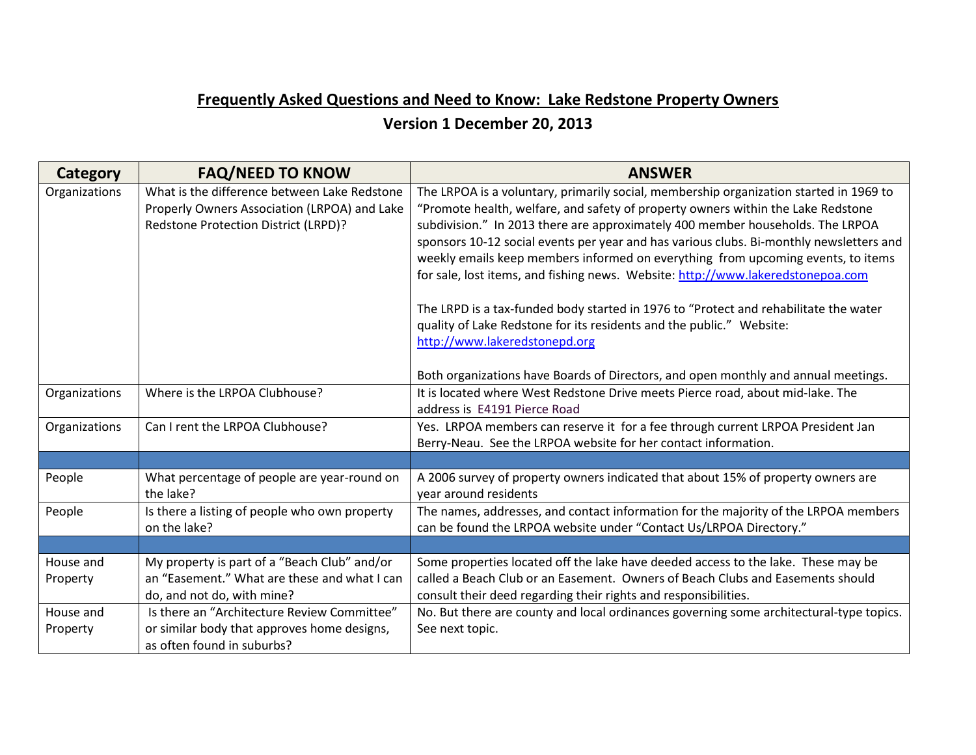## **Frequently Asked Questions and Need to Know: Lake Redstone Property Owners**

## **Version 1 December 20, 2013**

| <b>Category</b>       | <b>FAQ/NEED TO KNOW</b>                                                                                                              | <b>ANSWER</b>                                                                                                                                                                                                                                                                                                                                                                                                                                                                                                                                                                                                                                                                                                                   |
|-----------------------|--------------------------------------------------------------------------------------------------------------------------------------|---------------------------------------------------------------------------------------------------------------------------------------------------------------------------------------------------------------------------------------------------------------------------------------------------------------------------------------------------------------------------------------------------------------------------------------------------------------------------------------------------------------------------------------------------------------------------------------------------------------------------------------------------------------------------------------------------------------------------------|
| Organizations         | What is the difference between Lake Redstone<br>Properly Owners Association (LRPOA) and Lake<br>Redstone Protection District (LRPD)? | The LRPOA is a voluntary, primarily social, membership organization started in 1969 to<br>"Promote health, welfare, and safety of property owners within the Lake Redstone<br>subdivision." In 2013 there are approximately 400 member households. The LRPOA<br>sponsors 10-12 social events per year and has various clubs. Bi-monthly newsletters and<br>weekly emails keep members informed on everything from upcoming events, to items<br>for sale, lost items, and fishing news. Website: http://www.lakeredstonepoa.com<br>The LRPD is a tax-funded body started in 1976 to "Protect and rehabilitate the water<br>quality of Lake Redstone for its residents and the public." Website:<br>http://www.lakeredstonepd.org |
| Organizations         | Where is the LRPOA Clubhouse?                                                                                                        | Both organizations have Boards of Directors, and open monthly and annual meetings.<br>It is located where West Redstone Drive meets Pierce road, about mid-lake. The<br>address is E4191 Pierce Road                                                                                                                                                                                                                                                                                                                                                                                                                                                                                                                            |
| Organizations         | Can I rent the LRPOA Clubhouse?                                                                                                      | Yes. LRPOA members can reserve it for a fee through current LRPOA President Jan<br>Berry-Neau. See the LRPOA website for her contact information.                                                                                                                                                                                                                                                                                                                                                                                                                                                                                                                                                                               |
|                       |                                                                                                                                      |                                                                                                                                                                                                                                                                                                                                                                                                                                                                                                                                                                                                                                                                                                                                 |
| People                | What percentage of people are year-round on<br>the lake?                                                                             | A 2006 survey of property owners indicated that about 15% of property owners are<br>year around residents                                                                                                                                                                                                                                                                                                                                                                                                                                                                                                                                                                                                                       |
| People                | Is there a listing of people who own property<br>on the lake?                                                                        | The names, addresses, and contact information for the majority of the LRPOA members<br>can be found the LRPOA website under "Contact Us/LRPOA Directory."                                                                                                                                                                                                                                                                                                                                                                                                                                                                                                                                                                       |
|                       |                                                                                                                                      |                                                                                                                                                                                                                                                                                                                                                                                                                                                                                                                                                                                                                                                                                                                                 |
| House and<br>Property | My property is part of a "Beach Club" and/or<br>an "Easement." What are these and what I can<br>do, and not do, with mine?           | Some properties located off the lake have deeded access to the lake. These may be<br>called a Beach Club or an Easement. Owners of Beach Clubs and Easements should<br>consult their deed regarding their rights and responsibilities.                                                                                                                                                                                                                                                                                                                                                                                                                                                                                          |
| House and<br>Property | Is there an "Architecture Review Committee"<br>or similar body that approves home designs,<br>as often found in suburbs?             | No. But there are county and local ordinances governing some architectural-type topics.<br>See next topic.                                                                                                                                                                                                                                                                                                                                                                                                                                                                                                                                                                                                                      |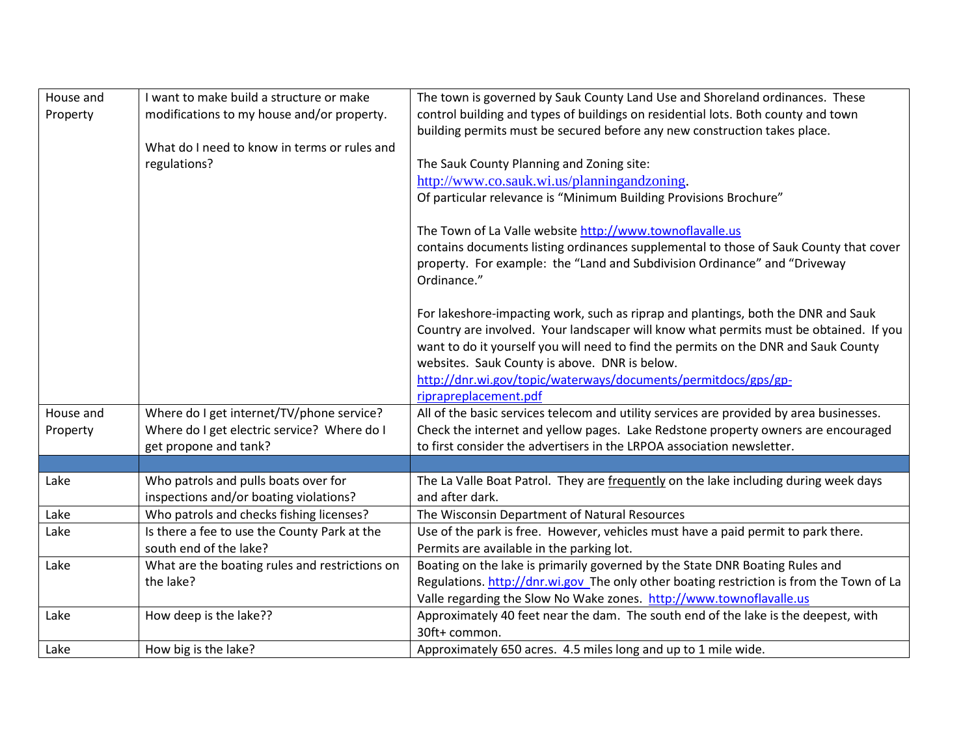| House and | I want to make build a structure or make       | The town is governed by Sauk County Land Use and Shoreland ordinances. These             |
|-----------|------------------------------------------------|------------------------------------------------------------------------------------------|
| Property  | modifications to my house and/or property.     | control building and types of buildings on residential lots. Both county and town        |
|           |                                                | building permits must be secured before any new construction takes place.                |
|           | What do I need to know in terms or rules and   |                                                                                          |
|           | regulations?                                   | The Sauk County Planning and Zoning site:                                                |
|           |                                                | http://www.co.sauk.wi.us/planningandzoning.                                              |
|           |                                                | Of particular relevance is "Minimum Building Provisions Brochure"                        |
|           |                                                |                                                                                          |
|           |                                                | The Town of La Valle website http://www.townoflavalle.us                                 |
|           |                                                | contains documents listing ordinances supplemental to those of Sauk County that cover    |
|           |                                                | property. For example: the "Land and Subdivision Ordinance" and "Driveway                |
|           |                                                | Ordinance."                                                                              |
|           |                                                |                                                                                          |
|           |                                                | For lakeshore-impacting work, such as riprap and plantings, both the DNR and Sauk        |
|           |                                                | Country are involved. Your landscaper will know what permits must be obtained. If you    |
|           |                                                | want to do it yourself you will need to find the permits on the DNR and Sauk County      |
|           |                                                | websites. Sauk County is above. DNR is below.                                            |
|           |                                                | http://dnr.wi.gov/topic/waterways/documents/permitdocs/gps/gp-                           |
|           |                                                | riprapreplacement.pdf                                                                    |
| House and | Where do I get internet/TV/phone service?      | All of the basic services telecom and utility services are provided by area businesses.  |
| Property  | Where do I get electric service? Where do I    | Check the internet and yellow pages. Lake Redstone property owners are encouraged        |
|           | get propone and tank?                          | to first consider the advertisers in the LRPOA association newsletter.                   |
|           |                                                |                                                                                          |
| Lake      | Who patrols and pulls boats over for           | The La Valle Boat Patrol. They are frequently on the lake including during week days     |
|           | inspections and/or boating violations?         | and after dark.                                                                          |
| Lake      | Who patrols and checks fishing licenses?       | The Wisconsin Department of Natural Resources                                            |
| Lake      | Is there a fee to use the County Park at the   | Use of the park is free. However, vehicles must have a paid permit to park there.        |
|           | south end of the lake?                         | Permits are available in the parking lot.                                                |
| Lake      | What are the boating rules and restrictions on | Boating on the lake is primarily governed by the State DNR Boating Rules and             |
|           | the lake?                                      | Regulations. http://dnr.wi.gov The only other boating restriction is from the Town of La |
|           |                                                | Valle regarding the Slow No Wake zones. http://www.townoflavalle.us                      |
| Lake      | How deep is the lake??                         | Approximately 40 feet near the dam. The south end of the lake is the deepest, with       |
|           |                                                | 30ft+ common.                                                                            |
| Lake      | How big is the lake?                           | Approximately 650 acres. 4.5 miles long and up to 1 mile wide.                           |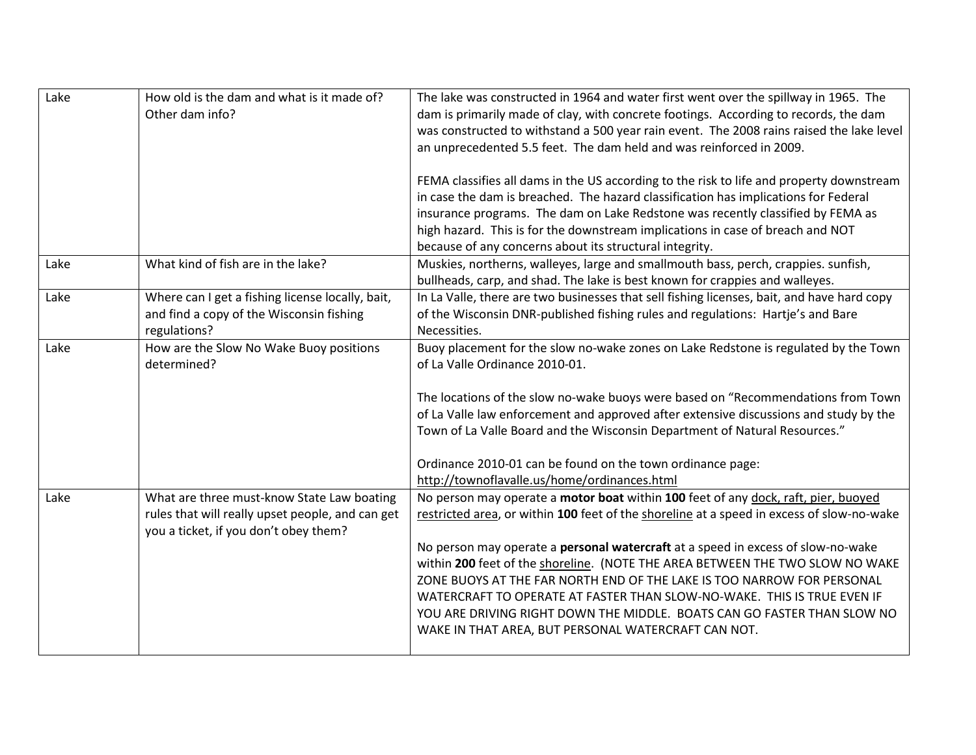| Lake | How old is the dam and what is it made of?<br>Other dam info?                                                                           | The lake was constructed in 1964 and water first went over the spillway in 1965. The<br>dam is primarily made of clay, with concrete footings. According to records, the dam<br>was constructed to withstand a 500 year rain event. The 2008 rains raised the lake level<br>an unprecedented 5.5 feet. The dam held and was reinforced in 2009.<br>FEMA classifies all dams in the US according to the risk to life and property downstream<br>in case the dam is breached. The hazard classification has implications for Federal<br>insurance programs. The dam on Lake Redstone was recently classified by FEMA as<br>high hazard. This is for the downstream implications in case of breach and NOT |
|------|-----------------------------------------------------------------------------------------------------------------------------------------|---------------------------------------------------------------------------------------------------------------------------------------------------------------------------------------------------------------------------------------------------------------------------------------------------------------------------------------------------------------------------------------------------------------------------------------------------------------------------------------------------------------------------------------------------------------------------------------------------------------------------------------------------------------------------------------------------------|
| Lake | What kind of fish are in the lake?                                                                                                      | because of any concerns about its structural integrity.<br>Muskies, northerns, walleyes, large and smallmouth bass, perch, crappies. sunfish,<br>bullheads, carp, and shad. The lake is best known for crappies and walleyes.                                                                                                                                                                                                                                                                                                                                                                                                                                                                           |
| Lake | Where can I get a fishing license locally, bait,<br>and find a copy of the Wisconsin fishing<br>regulations?                            | In La Valle, there are two businesses that sell fishing licenses, bait, and have hard copy<br>of the Wisconsin DNR-published fishing rules and regulations: Hartje's and Bare<br>Necessities.                                                                                                                                                                                                                                                                                                                                                                                                                                                                                                           |
| Lake | How are the Slow No Wake Buoy positions<br>determined?                                                                                  | Buoy placement for the slow no-wake zones on Lake Redstone is regulated by the Town<br>of La Valle Ordinance 2010-01.<br>The locations of the slow no-wake buoys were based on "Recommendations from Town<br>of La Valle law enforcement and approved after extensive discussions and study by the<br>Town of La Valle Board and the Wisconsin Department of Natural Resources."<br>Ordinance 2010-01 can be found on the town ordinance page:<br>http://townoflavalle.us/home/ordinances.html                                                                                                                                                                                                          |
| Lake | What are three must-know State Law boating<br>rules that will really upset people, and can get<br>you a ticket, if you don't obey them? | No person may operate a motor boat within 100 feet of any dock, raft, pier, buoyed<br>restricted area, or within 100 feet of the shoreline at a speed in excess of slow-no-wake<br>No person may operate a personal watercraft at a speed in excess of slow-no-wake<br>within 200 feet of the shoreline. (NOTE THE AREA BETWEEN THE TWO SLOW NO WAKE<br>ZONE BUOYS AT THE FAR NORTH END OF THE LAKE IS TOO NARROW FOR PERSONAL<br>WATERCRAFT TO OPERATE AT FASTER THAN SLOW-NO-WAKE. THIS IS TRUE EVEN IF<br>YOU ARE DRIVING RIGHT DOWN THE MIDDLE. BOATS CAN GO FASTER THAN SLOW NO<br>WAKE IN THAT AREA, BUT PERSONAL WATERCRAFT CAN NOT.                                                             |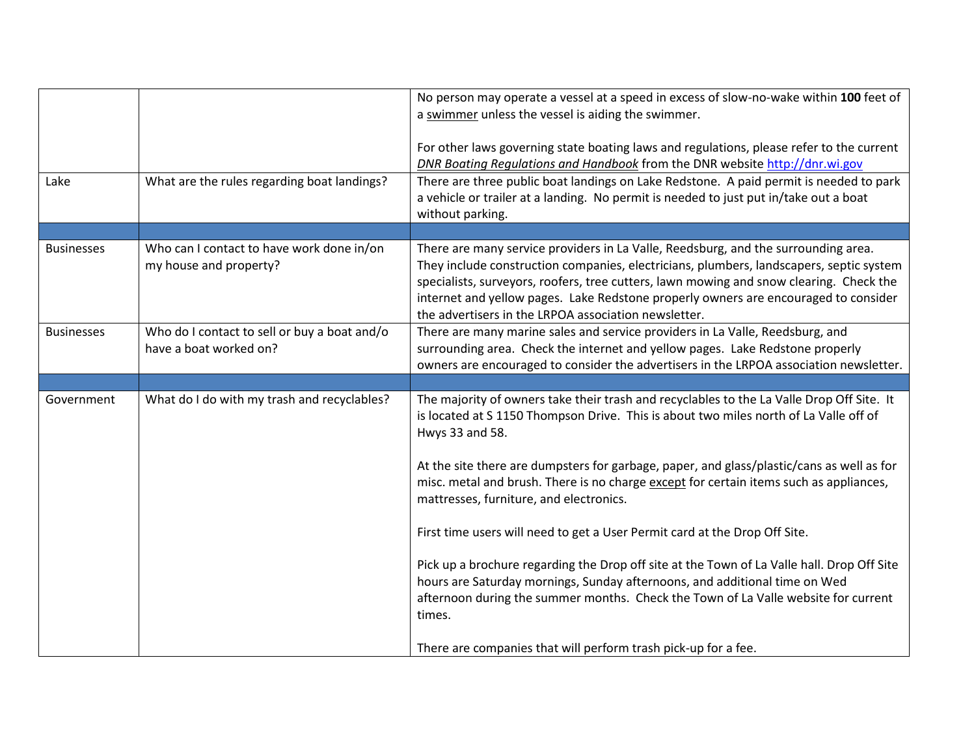|                   |                                                                        | No person may operate a vessel at a speed in excess of slow-no-wake within 100 feet of<br>a swimmer unless the vessel is aiding the swimmer.<br>For other laws governing state boating laws and regulations, please refer to the current                                                                                                                                                                                |
|-------------------|------------------------------------------------------------------------|-------------------------------------------------------------------------------------------------------------------------------------------------------------------------------------------------------------------------------------------------------------------------------------------------------------------------------------------------------------------------------------------------------------------------|
| Lake              | What are the rules regarding boat landings?                            | DNR Boating Regulations and Handbook from the DNR website http://dnr.wi.gov<br>There are three public boat landings on Lake Redstone. A paid permit is needed to park                                                                                                                                                                                                                                                   |
|                   |                                                                        | a vehicle or trailer at a landing. No permit is needed to just put in/take out a boat<br>without parking.                                                                                                                                                                                                                                                                                                               |
|                   |                                                                        |                                                                                                                                                                                                                                                                                                                                                                                                                         |
| <b>Businesses</b> | Who can I contact to have work done in/on<br>my house and property?    | There are many service providers in La Valle, Reedsburg, and the surrounding area.<br>They include construction companies, electricians, plumbers, landscapers, septic system<br>specialists, surveyors, roofers, tree cutters, lawn mowing and snow clearing. Check the<br>internet and yellow pages. Lake Redstone properly owners are encouraged to consider<br>the advertisers in the LRPOA association newsletter. |
| <b>Businesses</b> | Who do I contact to sell or buy a boat and/o<br>have a boat worked on? | There are many marine sales and service providers in La Valle, Reedsburg, and<br>surrounding area. Check the internet and yellow pages. Lake Redstone properly<br>owners are encouraged to consider the advertisers in the LRPOA association newsletter.                                                                                                                                                                |
|                   |                                                                        |                                                                                                                                                                                                                                                                                                                                                                                                                         |
| Government        | What do I do with my trash and recyclables?                            | The majority of owners take their trash and recyclables to the La Valle Drop Off Site. It<br>is located at S 1150 Thompson Drive. This is about two miles north of La Valle off of<br>Hwys 33 and 58.                                                                                                                                                                                                                   |
|                   |                                                                        | At the site there are dumpsters for garbage, paper, and glass/plastic/cans as well as for<br>misc. metal and brush. There is no charge except for certain items such as appliances,<br>mattresses, furniture, and electronics.                                                                                                                                                                                          |
|                   |                                                                        | First time users will need to get a User Permit card at the Drop Off Site.                                                                                                                                                                                                                                                                                                                                              |
|                   |                                                                        | Pick up a brochure regarding the Drop off site at the Town of La Valle hall. Drop Off Site<br>hours are Saturday mornings, Sunday afternoons, and additional time on Wed<br>afternoon during the summer months. Check the Town of La Valle website for current<br>times.                                                                                                                                                |
|                   |                                                                        | There are companies that will perform trash pick-up for a fee.                                                                                                                                                                                                                                                                                                                                                          |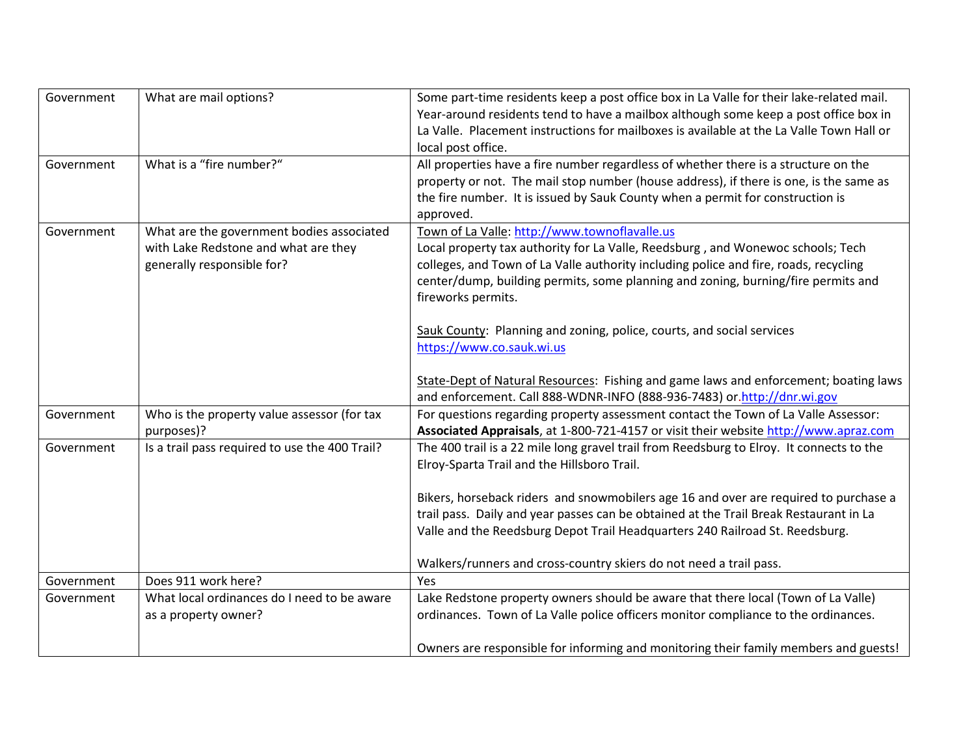| Government | What are mail options?                         | Some part-time residents keep a post office box in La Valle for their lake-related mail. |
|------------|------------------------------------------------|------------------------------------------------------------------------------------------|
|            |                                                | Year-around residents tend to have a mailbox although some keep a post office box in     |
|            |                                                | La Valle. Placement instructions for mailboxes is available at the La Valle Town Hall or |
|            |                                                | local post office.                                                                       |
| Government | What is a "fire number?"                       | All properties have a fire number regardless of whether there is a structure on the      |
|            |                                                | property or not. The mail stop number (house address), if there is one, is the same as   |
|            |                                                | the fire number. It is issued by Sauk County when a permit for construction is           |
|            |                                                | approved.                                                                                |
| Government | What are the government bodies associated      | Town of La Valle: http://www.townoflavalle.us                                            |
|            | with Lake Redstone and what are they           | Local property tax authority for La Valle, Reedsburg, and Wonewoc schools; Tech          |
|            | generally responsible for?                     | colleges, and Town of La Valle authority including police and fire, roads, recycling     |
|            |                                                | center/dump, building permits, some planning and zoning, burning/fire permits and        |
|            |                                                | fireworks permits.                                                                       |
|            |                                                |                                                                                          |
|            |                                                | Sauk County: Planning and zoning, police, courts, and social services                    |
|            |                                                | https://www.co.sauk.wi.us                                                                |
|            |                                                | State-Dept of Natural Resources: Fishing and game laws and enforcement; boating laws     |
|            |                                                | and enforcement. Call 888-WDNR-INFO (888-936-7483) or.http://dnr.wi.gov                  |
| Government | Who is the property value assessor (for tax    | For questions regarding property assessment contact the Town of La Valle Assessor:       |
|            | purposes)?                                     | Associated Appraisals, at 1-800-721-4157 or visit their website http://www.apraz.com     |
| Government | Is a trail pass required to use the 400 Trail? | The 400 trail is a 22 mile long gravel trail from Reedsburg to Elroy. It connects to the |
|            |                                                | Elroy-Sparta Trail and the Hillsboro Trail.                                              |
|            |                                                |                                                                                          |
|            |                                                | Bikers, horseback riders and snowmobilers age 16 and over are required to purchase a     |
|            |                                                | trail pass. Daily and year passes can be obtained at the Trail Break Restaurant in La    |
|            |                                                | Valle and the Reedsburg Depot Trail Headquarters 240 Railroad St. Reedsburg.             |
|            |                                                |                                                                                          |
|            |                                                | Walkers/runners and cross-country skiers do not need a trail pass.                       |
| Government | Does 911 work here?                            | Yes                                                                                      |
| Government | What local ordinances do I need to be aware    | Lake Redstone property owners should be aware that there local (Town of La Valle)        |
|            | as a property owner?                           | ordinances. Town of La Valle police officers monitor compliance to the ordinances.       |
|            |                                                |                                                                                          |
|            |                                                | Owners are responsible for informing and monitoring their family members and guests!     |